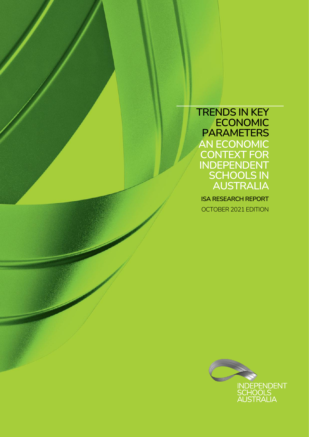**TRENDS IN KEY ECONOMIC PARAMETERS AN ECONOMIC CONTEXT FOR INDEPENDENT SCHOOLS IN AUSTRALIA**

**ISA RESEARCH REPORT** OCTOBER 2021 EDITION

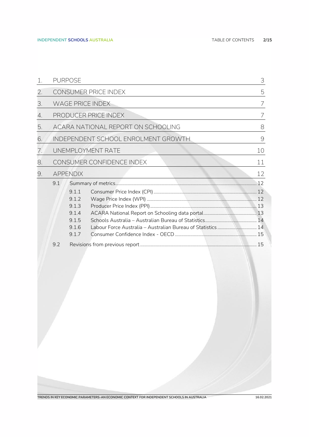|    |     | <b>PURPOSE</b>  |                                     | 3  |
|----|-----|-----------------|-------------------------------------|----|
| 2. |     |                 | CONSUMER PRICE INDEX                | 5  |
| 3. |     |                 | <b>WAGE PRICE INDEX</b>             | 7  |
| 4. |     |                 | PRODUCER PRICE INDEX                | 7  |
| 5. |     |                 | ACARA NATIONAL REPORT ON SCHOOLING  | 8  |
| 6. |     |                 | INDEPENDENT SCHOOL ENROLMENT GROWTH | 9  |
| 7. |     |                 | UNEMPLOYMENT RATE                   | 10 |
| 8. |     |                 | CONSUMER CONFIDENCE INDEX           | 11 |
| 9. |     | <b>APPENDIX</b> |                                     | 12 |
|    | 9.1 |                 |                                     |    |
|    |     | 9.1.1           |                                     |    |
|    |     | 9.1.2           |                                     |    |
|    |     | 9.1.3           |                                     |    |
|    |     | 9.1.4           |                                     |    |
|    |     | 9.1.5           |                                     |    |
|    |     | 9.16            |                                     |    |
|    |     | 9.1.7           |                                     |    |
|    | 9.2 |                 |                                     |    |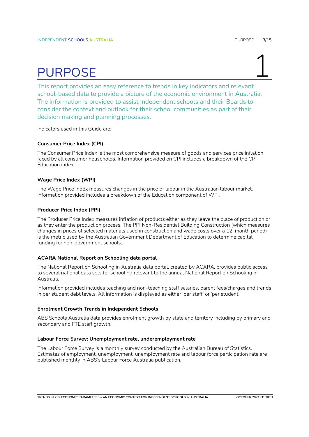## PURPOSE 1

<span id="page-2-0"></span>This report provides an easy reference to trends in key indicators and relevant school-based data to provide a picture of the economic environment in Australia. The information is provided to assist Independent schools and their Boards to consider the context and outlook for their school communities as part of their decision making and planning processes.

Indicators used in this Guide are:

### **Consumer Price Index (CPI)**

The Consumer Price Index is the most comprehensive measure of goods and services price inflation faced by all consumer households. Information provided on CPI includes a breakdown of the CPI Education index.

### **Wage Price Index (WPI)**

The Wage Price Index measures changes in the price of labour in the Australian labour market. Information provided includes a breakdown of the Education component of WPI.

### **Producer Price Index (PPI)**

The Producer Price Index measures inflation of products either as they leave the place of production or as they enter the production process. The PPI Non-Residential Building Construction (which measures changes in prices of selected materials used in construction and wage costs over a 12-month period) is the metric used by the Australian Government Department of Education to determine capital funding for non-government schools.

### **ACARA National Report on Schooling data portal**

The National Report on Schooling in Australia data portal, created by ACARA, provides public access to several national data sets for schooling relevant to the annual National Report on Schooling in Australia.

Information provided includes teaching and non-teaching staff salaries, parent fees/charges and trends in per student debt levels. All information is displayed as either 'per staff' or 'per student'.

### **Enrolment Growth Trends in Independent Schools**

ABS Schools Australia data provides enrolment growth by state and territory including by primary and secondary and FTE staff growth.

### **Labour Force Survey: Unemployment rate, underemployment rate**

The Labour Force Survey is a monthly survey conducted by the Australian Bureau of Statistics. Estimates of employment, unemployment, unemployment rate and labour force participation rate are published monthly in ABS's Labour Force Australia publication.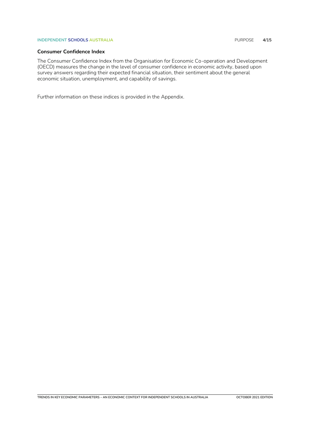### **INDEPENDENT SCHOOLS AUSTRALIA** PURPOSE **4/15**

### **Consumer Confidence Index**

The Consumer Confidence Index from the Organisation for Economic Co-operation and Development (OECD) measures the change in the level of consumer confidence in economic activity, based upon survey answers regarding their expected financial situation, their sentiment about the general economic situation, unemployment, and capability of savings.

Further information on these indices is provided in the Appendix.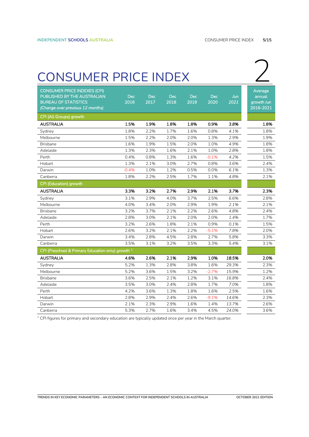### <span id="page-4-0"></span>consumer PRICE INDEX 2

| <b>CONSUMER PRICE INDEXES (CPI)</b><br>PUBLISHED BY THE AUSTRALIAN<br><b>BUREAU OF STATISTICS</b><br>(Change over previous 12 months) | <b>Dec</b><br>2016 | Dec<br>2017 | <b>Dec</b><br>2018 | <b>Dec</b><br>2019 | <b>Dec</b><br>2020 | Jun<br>2021 | Average<br>annual<br>growth Jun<br>2016-2021 |
|---------------------------------------------------------------------------------------------------------------------------------------|--------------------|-------------|--------------------|--------------------|--------------------|-------------|----------------------------------------------|
| CPI (All Groups) growth                                                                                                               |                    |             |                    |                    |                    |             |                                              |
| <b>AUSTRALIA</b>                                                                                                                      | 1.5%               | 1.9%        | 1.8%               | 1.8%               | 0.9%               | 3.8%        | 1.8%                                         |
| Sydney                                                                                                                                | 1.8%               | 2.2%        | 1.7%               | 1.6%               | 0.8%               | 4.1%        | 1.8%                                         |
| Melbourne                                                                                                                             | 1.5%               | 2.2%        | 2.0%               | 2.0%               | 1.3%               | 2.9%        | 1.9%                                         |
| <b>Brisbane</b>                                                                                                                       | 1.6%               | 1.9%        | 1.5%               | 2.0%               | 1.0%               | 4.9%        | 1.8%                                         |
| Adelaide                                                                                                                              | 1.3%               | 2.3%        | 1.6%               | 2.1%               | 1.0%               | 2.8%        | 1.8%                                         |
| Perth                                                                                                                                 | 0.4%               | 0.8%        | 1.3%               | 1.6%               | $-0.1%$            | 4.2%        | 1.5%                                         |
| Hobart                                                                                                                                | 1.3%               | 2.1%        | 3.0%               | 2.7%               | 0.8%               | 3.6%        | 2.4%                                         |
| Darwin                                                                                                                                | $-0.4%$            | 1.0%        | 1.2%               | 0.5%               | 0.0%               | 6.1%        | 1.3%                                         |
| Canberra                                                                                                                              | 1.8%               | 2.2%        | 2.5%               | 1.7%               | 1.1%               | 4.8%        | 2.1%                                         |
| CPI (Education) growth                                                                                                                |                    |             |                    |                    |                    |             |                                              |
| <b>AUSTRALIA</b>                                                                                                                      | 3.3%               | 3.2%        | 2.7%               | 2.9%               | 2.1%               | 3.7%        | 2.3%                                         |
| Sydney                                                                                                                                | 3.1%               | 2.9%        | 4.0%               | 3.7%               | 2.5%               | 6.6%        | 2.8%                                         |
| Melbourne                                                                                                                             | 4.0%               | 3.4%        | 2.0%               | 2.9%               | 1.9%               | 2.1%        | 2.1%                                         |
| <b>Brisbane</b>                                                                                                                       | 3.2%               | 3.7%        | 2.1%               | 2.2%               | 2.6%               | 4.8%        | 2.4%                                         |
| Adelaide                                                                                                                              | 2.8%               | 3.0%        | 2.1%               | 2.0%               | 2.0%               | 1.4%        | 1.7%                                         |
| Perth                                                                                                                                 | 3.2%               | 2.6%        | 1.8%               | 2.1%               | 0.9%               | 0.1%        | 1.5%                                         |
| Hobart                                                                                                                                | 2.6%               | 3.2%        | 2.1%               | 2.2%               | $-5.1%$            | 7.8%        | 2.0%                                         |
| Darwin                                                                                                                                | 3.4%               | 2.8%        | 4.5%               | 2.8%               | 2.7%               | 5.8%        | 3.3%                                         |
| Canberra                                                                                                                              | 3.5%               | 3.1%        | 3.2%               | 3.5%               | 3.3%               | 5.4%        | 3.1%                                         |
| CPI (Preschool & Primary Education only) growth <sup>1</sup>                                                                          |                    |             |                    |                    |                    |             |                                              |
| <b>AUSTRALIA</b>                                                                                                                      | 4.6%               | 2.6%        | 2.1%               | 2.9%               | 1.0%               | 18.5%       | 2.0%                                         |
| Sydney                                                                                                                                | 5.2%               | 1.3%        | 2.8%               | 3.8%               | 1.6%               | 29.3%       | 2.3%                                         |
| Melbourne                                                                                                                             | 5.2%               | 3.6%        | 1.5%               | 3.2%               | $-2.7%$            | 15.9%       | 1.2%                                         |
| <b>Brisbane</b>                                                                                                                       | 3.6%               | 2.5%        | 2.1%               | 1.2%               | 3.1%               | 16.8%       | 2.4%                                         |
| Adelaide                                                                                                                              | 3.5%               | 3.0%        | 2.4%               | 2.8%               | 1.7%               | 7.0%        | 1.8%                                         |
| Perth                                                                                                                                 | 4.2%               | 3.6%        | 1.3%               | 1.8%               | 1.6%               | 2.5%        | 1.6%                                         |
| Hobart                                                                                                                                | 2.8%               | 2.9%        | 2.4%               | 2.6%               | $-9.1%$            | 14.6%       | 2.3%                                         |
| Darwin                                                                                                                                | 2.1%               | 2.3%        | 2.9%               | 1.6%               | 1.4%               | 13.7%       | 2.6%                                         |
| Canberra                                                                                                                              | 5.3%               | 2.7%        | 1.6%               | 3.4%               | 4.5%               | 24.0%       | 3.6%                                         |

<sup>1</sup> CPI figures for primary and secondary education are typically updated once per year in the March quarter.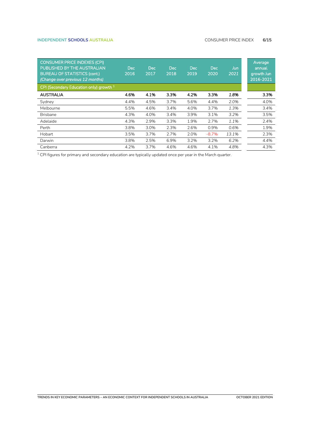### **INDEPENDENT SCHOOLS AUSTRALIA** CONSUMER PRICE INDEX **6/15**

| <b>CONSUMER PRICE INDEXES (CPI)</b><br>PUBLISHED BY THE AUSTRALIAN<br><b>BUREAU OF STATISTICS (cont.)</b><br>(Change over previous 12 months) | <b>Dec</b><br>2016 | Dec.<br>2017 | <b>Dec</b><br>2018 | <b>Dec</b><br>2019 | <b>Dec</b><br>2020 | Jun<br>2021 | Average<br>annual<br>growth Jun<br>2016-2021 |
|-----------------------------------------------------------------------------------------------------------------------------------------------|--------------------|--------------|--------------------|--------------------|--------------------|-------------|----------------------------------------------|
| CPI (Secondary Education only) growth <sup>1</sup>                                                                                            |                    |              |                    |                    |                    |             |                                              |
| <b>AUSTRALIA</b>                                                                                                                              | 4.6%               | 4.1%         | 3.3%               | 4.2%               | 3.3%               | 1.8%        | 3.3%                                         |
| Sydney                                                                                                                                        | 4.4%               | 4.5%         | 3.7%               | 5.6%               | 4.4%               | 2.0%        | 4.0%                                         |
| Melbourne                                                                                                                                     | 5.5%               | 4.6%         | 3.4%               | 4.0%               | 3.7%               | 1.3%        | 3.4%                                         |
| <b>Brisbane</b>                                                                                                                               | 4.3%               | 4.0%         | 3.4%               | 3.9%               | 3.1%               | 3.2%        | 3.5%                                         |
| Adelaide                                                                                                                                      | 4.3%               | 2.9%         | 3.3%               | 1.9%               | 2.7%               | 1.1%        | 2.4%                                         |
| Perth                                                                                                                                         | 3.8%               | 3.0%         | 2.3%               | 2.6%               | 0.9%               | 0.6%        | 1.9%                                         |
| Hobart                                                                                                                                        | 3.5%               | 3.7%         | 2.7%               | 2.0%               | $-8.7%$            | 13.1%       | 2.3%                                         |
| Darwin                                                                                                                                        | 3.8%               | 2.5%         | 6.9%               | 3.2%               | 3.2%               | 6.2%        | 4.4%                                         |
| Canberra                                                                                                                                      | 4.2%               | 3.7%         | 4.6%               | 4.6%               | 4.1%               | 4.8%        | 4.3%                                         |

<sup>1</sup> CPI figures for primary and secondary education are typically updated once per year in the March quarter.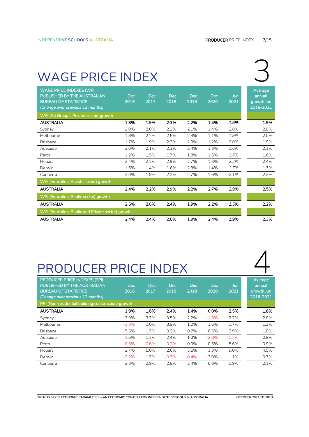### <span id="page-6-0"></span>WAGE PRICE INDEX

| <b>WAGE PRICE INDEXES (WPI)</b><br>PUBLISHED BY THE AUSTRALIAN<br><b>BUREAU OF STATISTICS</b><br>(Change over previous 12 months) | <b>Dec</b><br>2016 | <b>Dec</b><br>2017 | <b>Dec</b><br>2018 | Dec.<br>2019 | Dec.<br>2020 | Jun<br>2021 | Average<br>annual<br>growth Jun<br>2016-2021 |
|-----------------------------------------------------------------------------------------------------------------------------------|--------------------|--------------------|--------------------|--------------|--------------|-------------|----------------------------------------------|
| WPI (All Groups, Private sector) growth                                                                                           |                    |                    |                    |              |              |             |                                              |
| <b>AUSTRALIA</b>                                                                                                                  | 1.8%               | 1.9%               | 2.3%               | 2.2%         | 1.4%         | 1.9%        | 1.9%                                         |
| Sydney                                                                                                                            | 2.0%               | 2.0%               | 2.3%               | 2.1%         | 1.4%         | 2.0%        | 2.0%                                         |
| Melbourne                                                                                                                         | 1.8%               | 2.2%               | 2.5%               | 2.4%         | 1.1%         | 1.9%        | 2.0%                                         |
| <b>Brisbane</b>                                                                                                                   | 1.7%               | 1.9%               | 2.3%               | 2.0%         | 1.2%         | 2.0%        | 1.9%                                         |
| Adelaide                                                                                                                          | 2.0%               | 2.1%               | 2.3%               | 2.4%         | 1.3%         | 1.6%        | 2.1%                                         |
| Perth                                                                                                                             | 1.2%               | 1.5%               | 1.7%               | 1.8%         | 1.6%         | 1.7%        | 1.6%                                         |
| Hobart                                                                                                                            | 2.4%               | 2.2%               | 2.9%               | 2.7%         | 1.3%         | 2.2%        | 2.4%                                         |
| Darwin                                                                                                                            | 1.6%               | 1.4%               | 1.6%               | 2.3%         | 1.4%         | 1.7%        | 1.7%                                         |
| Canberra                                                                                                                          | 2.0%               | 1.9%               | 2.2%               | 2.7%         | 1.6%         | 2.1%        | 2.2%                                         |
| WPI (Education, Private sector) growth                                                                                            |                    |                    |                    |              |              |             |                                              |
| <b>AUSTRALIA</b>                                                                                                                  | 2.4%               | 2.2%               | 2.9%               | 2.2%         | 2.7%         | 2.9%        | 2.5%                                         |
| WPI (Education, Public sector) growth                                                                                             |                    |                    |                    |              |              |             |                                              |
| <b>AUSTRALIA</b>                                                                                                                  | 2.5%               | 2.6%               | 2.4%               | 1.9%         | 2.2%         | 1.5%        | 2.2%                                         |
| WPI (Education, Public and Private sector) growth                                                                                 |                    |                    |                    |              |              |             |                                              |
| <b>AUSTRALIA</b>                                                                                                                  | 2.4%               | 2.4%               | 2.6%               | 1.9%         | 2.4%         | 1.9%        | 2.3%                                         |

### <span id="page-6-1"></span>PRODUCER PRICE INDEX

| <b>PRODUCER PRICE INDEXES (PPI)</b><br>PUBLISHED BY THE AUSTRALIAN<br><b>BUREAU OF STATISTICS</b><br>(Change over previous 12 months)<br>PPI (Non-residential building construction) growth | Dec<br>2016 | <b>Dec</b><br>2017 | Dec<br>2018 | <b>Dec</b><br>2019 | <b>Dec</b><br>2020 | Jun<br>2021 | Average<br>annual<br>growth Jun<br>2016-2021 |
|---------------------------------------------------------------------------------------------------------------------------------------------------------------------------------------------|-------------|--------------------|-------------|--------------------|--------------------|-------------|----------------------------------------------|
| <b>AUSTRALIA</b>                                                                                                                                                                            | 1.9%        | 1.6%               | 2.4%        | 1.4%               | 0.0%               | 2.5%        | 1.8%                                         |
| Sydney                                                                                                                                                                                      | 3.9%        | 3.7%               | 3.5%        | 2.2%               | $-1.5%$            | 2.7%        | 2.8%                                         |
| Melbourne                                                                                                                                                                                   | $-1.3%$     | 0.0%               | 3.9%        | 1.2%               | 1.6%               | 1.7%        | 1.3%                                         |
| <b>Brisbane</b>                                                                                                                                                                             | 5.5%        | 1.7%               | 0.2%        | 0.7%               | 0.5%               | 2.9%        | 1.8%                                         |
| Adelaide                                                                                                                                                                                    | 1.6%        | 1.2%               | 2.4%        | 1.3%               | $-2.8%$            | $-1.2%$     | 0.9%                                         |
| Perth                                                                                                                                                                                       | $-0.5%$     | $-0.6%$            | $-0.2%$     | 0.0%               | 0.5%               | 5.6%        | 0.9%                                         |
| Hobart                                                                                                                                                                                      | 2.7%        | 5.8%               | 2.6%        | 3.5%               | 1.3%               | 9.0%        | 4.5%                                         |
| Darwin                                                                                                                                                                                      | $-3.2%$     | 1.7%               | $-0.7%$     | $-0.4%$            | 3.0%               | 1.1%        | 0.7%                                         |
| Canberra                                                                                                                                                                                    | 2.3%        | 2.9%               | 2.8%        | 2.4%               | 0.8%               | 0.9%        | 2.1%                                         |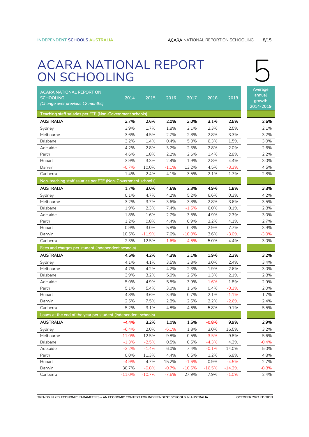## <span id="page-7-0"></span>5. ACARA NATIONAL REPORT ON SCHOOLING 5

| <b>ACARA NATIONAL REPORT ON</b><br><b>SCHOOLING</b><br>(Change over previous 12 months)<br>Teaching staff salaries per FTE (Non-Government schools) | 2014         | 2015         | 2016         | 2017         | 2018         | 2019         | Average<br>annual<br>growth<br>2014-2019 |
|-----------------------------------------------------------------------------------------------------------------------------------------------------|--------------|--------------|--------------|--------------|--------------|--------------|------------------------------------------|
|                                                                                                                                                     |              |              |              |              |              |              |                                          |
| <b>AUSTRALIA</b>                                                                                                                                    | 3.7%         | 2.6%         | 2.0%         | 3.0%         | 3.1%         | 2.5%         | 2.6%                                     |
| Sydney                                                                                                                                              | 3.9%         | 1.7%         | 1.8%         | 2.1%         | 2.3%         | 2.5%         | 2.1%                                     |
| Melbourne                                                                                                                                           | 3.6%<br>3.2% | 4.5%         | 2.7%         | 2.8%         | 2.8%         | 3.3%         | 3.2%                                     |
| <b>Brisbane</b><br>Adelaide                                                                                                                         | 4.2%         | 1.4%<br>2.8% | 0.4%<br>3.2% | 5.3%<br>2.3% | 6.3%<br>2.8% | 1.5%<br>2.0% | 3.0%<br>2.6%                             |
| Perth                                                                                                                                               | 4.6%         | 1.8%         | 2.2%         | 2.6%         | 1.4%         | 2.8%         | 2.2%                                     |
| Hobart                                                                                                                                              | 3.9%         | 3.3%         | 2.4%         | 1.9%         | 2.8%         | 4.4%         | 3.0%                                     |
| Darwin                                                                                                                                              | $-0.7%$      | 10.0%        | $-1.1%$      | 13.2%        | 4.5%         | $-3.3%$      | 4.5%                                     |
| Canberra                                                                                                                                            | 1.4%         | 2.4%         | 4.1%         | 3.5%         | 2.1%         | 1.7%         | 2.8%                                     |
| Non-teaching staff salaries per FTE (Non-Government schools)                                                                                        |              |              |              |              |              |              |                                          |
| <b>AUSTRALIA</b>                                                                                                                                    | 1.7%         | 3.0%         | 4.6%         | 2.3%         | 4.9%         | 1.8%         | 3.3%                                     |
| Sydney                                                                                                                                              | 0.1%         | 4.7%         | 4.2%         | 5.2%         | 6.6%         | 0.3%         | 4.2%                                     |
| Melbourne                                                                                                                                           | 3.2%         | 3.7%         | 3.6%         | 3.8%         | 2.8%         | 3.6%         | 3.5%                                     |
| <b>Brisbane</b>                                                                                                                                     | 1.9%         | 2.3%         | 7.4%         | $-1.5%$      | 6.0%         | 0.1%         | 2.8%                                     |
| Adelaide                                                                                                                                            | 1.8%         | 1.6%         | 2.7%         | 3.5%         | 4.9%         | 2.3%         | 3.0%                                     |
| Perth                                                                                                                                               | 1.2%         | 0.8%         | 4.4%         | 0.9%         | 3.2%         | 4.1%         | 2.7%                                     |
| Hobart                                                                                                                                              | 0.9%         | 3.0%         | 5.8%         | 0.3%         | 2.9%         | 7.7%         | 3.9%                                     |
| Darwin                                                                                                                                              | 10.5%        | $-11.9%$     | 7.6%         | $-10.0%$     | 3.6%         | -3.0%        | $-3.0%$                                  |
| Canberra                                                                                                                                            | 2.3%         | 12.5%        | $-1.6%$      | $-4.6%$      | 5.0%         | 4.4%         | 3.0%                                     |
| Fees and charges per student (Independent schools)                                                                                                  |              |              |              |              |              |              |                                          |
| AUSTRALIA                                                                                                                                           | 4.5%         | 4.2%         | 4.3%         | 3.1%         | 1.9%         | 2.3%         | 3.2%                                     |
| Sydney                                                                                                                                              | 4.1%         | 4.1%         | 3.5%         | 3.8%         | 3.0%         | 2.4%         | 3.4%                                     |
| Melbourne                                                                                                                                           | 4.7%         | 4.2%         | 4.2%         | 2.3%         | 1.9%         | 2.6%         | 3.0%                                     |
| <b>Brisbane</b>                                                                                                                                     | 3.9%         | 3.2%         | 5.0%         | 2.5%         | 1.3%         | 2.1%         | 2.8%                                     |
| Adelaide                                                                                                                                            | 5.0%         | 4.9%         | 5.5%         | 3.9%         | $-1.6%$      | 1.8%         | 2.9%                                     |
| Perth                                                                                                                                               | 5.1%         | 5.4%         | 3.0%         | 1.6%         | 0.4%         | $-0.3%$      | 2.0%                                     |
| Hobart                                                                                                                                              | 4.8%         | 3.6%         | 3.3%         | 0.7%         | 2.1%         | $-1.1%$      | 1.7%                                     |
| Darwin                                                                                                                                              | 2.5%         | 7.5%         | 2.8%         | 2.6%         | 2.2%         | $-2.6%$      | 2.4%                                     |
| Canberra                                                                                                                                            | 5.2%         | 3.1%         | 4.8%         | 4.6%         | 5.8%         | 9.1%         | 5.5%                                     |
| Loans at the end of the year per student (Independent schools)                                                                                      |              |              |              |              |              |              |                                          |
| <b>AUSTRALIA</b>                                                                                                                                    | $-4.4%$      | 3.2%         | 1.0%         | 1.5%         | $-0.8%$      | 9.9%         | 2.9%                                     |
| Sydney                                                                                                                                              | $-6.4%$      | 2.0%         | $-6.1%$      | 1.8%         | 3.0%         | 16.5%        | 3.2%                                     |
| Melbourne                                                                                                                                           | $-11.0%$     | 12.5%        | 9.8%         | 0.5%         | $-3.5%$      | 9.8%         | 5.6%                                     |
| <b>Brisbane</b>                                                                                                                                     | $-1.3%$      | $-2.5%$      | 0.5%         | 0.5%         | $-4.3%$      | 4.3%         | $-0.4%$                                  |
| Adelaide                                                                                                                                            | $-2.2%$      | $-1.4%$      | 6.0%         | 7.4%         | $-0.1%$      | 14.0%        | 5.0%                                     |
| Perth                                                                                                                                               | 0.0%         | 11.3%        | 4.4%         | 0.5%         | 1.2%         | 6.8%         | 4.8%                                     |
| Hobart                                                                                                                                              | $-4.9%$      | 4.7%         | 15.2%        | $-1.6%$      | 0.9%         | $-4.5%$      | 2.7%                                     |
| Darwin                                                                                                                                              | 30.7%        | $-0.8%$      | $-0.7%$      | $-10.6%$     | $-16.5%$     | $-14.2%$     | $-8.8%$                                  |
| Canberra                                                                                                                                            | $-11.0%$     | $-10.7%$     | $-7.6%$      | 27.9%        | 7.9%         | $-1.0%$      | 2.4%                                     |

**TRENDS IN KEY ECONOMIC PARAMETERS – AN ECONOMIC CONTEXT FOR INDEPENDENT SCHOOLS IN AUSTRALIA OCTOBER 2021 EDITION**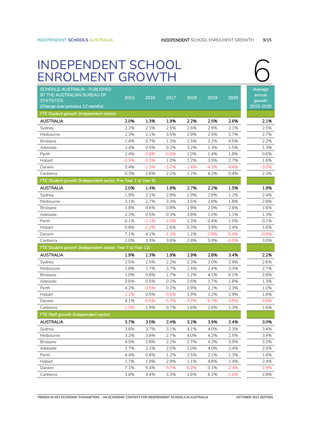## <span id="page-8-0"></span>INDEPENDENT SCHOOL 6<br>ENROLMENT GROWTH 6<br>ENROLMENT GROWTH

| SCHOOLS, AUSTRALIA - PUBLISHED                                |          |         |         |         |         |         | Average          |
|---------------------------------------------------------------|----------|---------|---------|---------|---------|---------|------------------|
| BY THE AUSTRALIAN BUREAU OF<br><b>STATISTICS</b>              | 2015     | 2016    | 2017    | 2018    | 2019    | 2020    | annual<br>growth |
| (Change over previous 12 months)                              |          |         |         |         |         |         | 2015-2020        |
| FTE Student growth (Independent sector)                       |          |         |         |         |         |         |                  |
| <b>AUSTRALIA</b>                                              | 2.0%     | 1.3%    | 1.9%    | 2.2%    | 2.5%    | 2.6%    | 2.1%             |
| Sydney                                                        | 2.2%     | 2.3%    | 2.5%    | 2.6%    | 2.9%    | 2.1%    | 2.5%             |
| Melbourne                                                     | 2.3%     | 2.1%    | 3.5%    | 2.9%    | 2.5%    | 2.7%    | 2.7%             |
| <b>Brisbane</b>                                               | 1.4%     | 0.7%    | 1.3%    | 1.5%    | 3.2%    | 4.5%    | 2.2%             |
| Adelaide                                                      | 1.4%     | 0.5%    | 0.2%    | 3.2%    | 1.3%    | 1.5%    | 1.3%             |
| Perth                                                         | 2.4%     | $-0.8%$ | $-0.3%$ | 1.0%    | 1.4%    | 1.8%    | 0.6%             |
| Hobart                                                        | $-0.3\%$ | $-0.3%$ | 1.0%    | 1.2%    | 3.5%    | 2.7%    | 1.6%             |
| Darwin                                                        | 5.4%     | $-1.3%$ | $-3.7%$ | $-1.4%$ | $-4.3%$ | $-4.4%$ | $-3.0%$          |
| Canberra                                                      | 0.3%     | 2.6%    | 2.2%    | 2.2%    | 4.2%    | 0.4%    | 2.3%             |
| FTE Student growth (Independent sector, Pre-Year 1 to Year 6) |          |         |         |         |         |         |                  |
| <b>AUSTRALIA</b>                                              | 2.0%     | 1.4%    | 1.8%    | 2.7%    | 2.2%    | 1.5%    | 1.9%             |
| Sydney                                                        | 1.9%     | 2.1%    | 2.9%    | 2.9%    | 2.8%    | 1.2%    | 2.4%             |
| Melbourne                                                     | 3.1%     | 2.7%    | 3.3%    | 3.5%    | 2.8%    | 1.8%    | 2.8%             |
| <b>Brisbane</b>                                               | 1.8%     | 0.6%    | 0.8%    | 1.9%    | 2.0%    | 2.6%    | 1.6%             |
| Adelaide                                                      | 2.2%     | 0.5%    | 0.3%    | 3.8%    | 1.0%    | 1.1%    | 1.3%             |
| Perth                                                         | 0.1%     | $-1.1%$ | $-1.0%$ | 1.3%    | 0.4%    | 1.0%    | 0.1%             |
| Hobart                                                        | 0.8%     | $-1.2%$ | 2.6%    | 0.3%    | 3.9%    | 2.4%    | 1.6%             |
| Darwin                                                        | 7.1%     | 4.1%    | $-1.3%$ | 1.2%    | $-2.8%$ | $-5.4%$ | $-0.9%$          |
| Canberra                                                      | 2.0%     | 3.3%    | 3.8%    | 2.8%    | 5.9%    | $-0.5%$ | 3.0%             |
| FTE Student growth (Independent sector, Year 7 to Year 12)    |          |         |         |         |         |         |                  |
| <b>AUSTRALIA</b>                                              | 1.9%     | 1.3%    | 1.9%    | 1.9%    | 2.8%    | 3.4%    | 2.2%             |
| Sydney                                                        | 2.5%     | 2.5%    | 2.2%    | 2.3%    | 3.0%    | 2.9%    | 2.6%             |
| Melbourne                                                     | 1.8%     | 1.7%    | 3.7%    | 2.4%    | 2.4%    | 3.3%    | 2.7%             |
| <b>Brisbane</b>                                               | 1.0%     | 0.8%    | 1.7%    | 1.2%    | 4.1%    | 6.1%    | 2.8%             |
| Adelaide                                                      | 0.6%     | 0.5%    | 0.2%    | 2.6%    | 1.7%    | 1.8%    | 1.3%             |
| Perth                                                         | 4.2%     | $-0.5%$ | 0.2%    | 0.9%    | 2.1%    | 2.3%    | 1.0%             |
| Hobart                                                        | $-1.2%$  | 0.5%    | $-0.5%$ | 1.9%    | 3.2%    | 2.9%    | 1.6%             |
| Darwin                                                        | 4.1%     | $-5.5%$ | $-5.7%$ | $-3.7%$ | $-5.7%$ | $-3.5%$ | $-4.8%$          |
| Canberra                                                      | $-1.3%$  | 1.9%    | 0.7%    | 1.6%    | 2.6%    | 1.3%    | 1.6%             |
| FTE Staff growth (Independent sector)                         |          |         |         |         |         |         |                  |
| <b>AUSTRALIA</b>                                              | 3.7%     | 3.0%    | 2.4%    | 3.2%    | 3.9%    | 2.4%    | 3.0%             |
| Sydney                                                        | 3.6%     | 3.7%    | 3.1%    | 4.1%    | 4.0%    | 2.3%    | 3.4%             |
| Melbourne                                                     | 3.2%     | 3.8%    | 2.7%    | 4.0%    | 4.2%    | 2.5%    | 3.4%             |
| <b>Brisbane</b>                                               | 4.5%     | 2.8%    | 2.2%    | 2.7%    | 4.2%    | 3.9%    | 3.2%             |
| Adelaide                                                      | 2.7%     | 2.2%    | 2.0%    | 2.0%    | 4.0%    | 2.4%    | 2.5%             |
| Perth                                                         | 4.4%     | 0.8%    | 1.2%    | 2.5%    | 2.1%    | 1.3%    | 1.6%             |
| Hobart                                                        | 1.7%     | 1.9%    | 2.9%    | 1.1%    | 4.8%    | 1.4%    | 2.4%             |
| Darwin                                                        | 7.1%     | 5.4%    | $-5.7%$ | $-6.2%$ | 0.1%    | $-2.4%$ | $-1.9%$          |
| Canberra                                                      | 3.8%     | 4.4%    | 3.3%    | 1.6%    | 6.2%    | $-1.6%$ | 2.8%             |

**TRENDS IN KEY ECONOMIC PARAMETERS – AN ECONOMIC CONTEXT FOR INDEPENDENT SCHOOLS IN AUSTRALIA OCTOBER 2021 EDITION**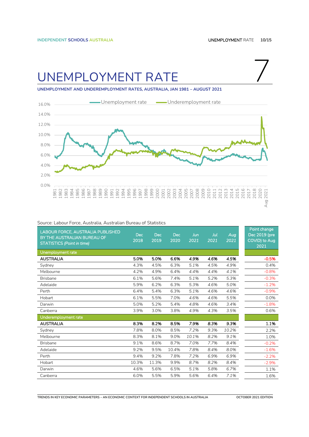### <span id="page-9-0"></span>UNEMPLOYMENT RATE

**UNEMPLOYMENT AND UNDEREMPLOYMENT RATES, AUSTRALIA, JAN 1981 – AUGUST 2021**



| LABOUR FORCE, AUSTRALIA PUBLISHED<br>BY THE AUSTRALIAN BUREAU OF<br><b>STATISTICS (Point in time)</b> | <b>Dec</b><br>2018 | Dec<br>2019 | <b>Dec</b><br>2020 | Jun<br>2021 | Jul<br>2021 | Aug<br>2021 | Point change<br>Dec 2019 (pre<br>COVID) to Aug<br>2021 |
|-------------------------------------------------------------------------------------------------------|--------------------|-------------|--------------------|-------------|-------------|-------------|--------------------------------------------------------|
| Unemployment rate                                                                                     |                    |             |                    |             |             |             |                                                        |
| <b>AUSTRALIA</b>                                                                                      | 5.0%               | 5.0%        | 6.6%               | 4.9%        | 4.6%        | 4.5%        | $-0.5%$                                                |
| Sydney                                                                                                | 4.3%               | 4.5%        | 6.3%               | 5.1%        | 4.5%        | 4.9%        | 0.4%                                                   |
| Melbourne                                                                                             | 4.2%               | 4.9%        | 6.4%               | 4.4%        | 4.4%        | 4.1%        | $-0.8%$                                                |
| <b>Brisbane</b>                                                                                       | 6.1%               | 5.6%        | 7.4%               | 5.1%        | 5.2%        | 5.3%        | $-0.3%$                                                |
| Adelaide                                                                                              | 5.9%               | 6.2%        | 6.3%               | 5.3%        | 4.6%        | 5.0%        | $-1.2%$                                                |
| Perth                                                                                                 | 6.4%               | 5.4%        | 6.3%               | 5.1%        | 4.6%        | 4.6%        | $-0.9%$                                                |
| Hobart                                                                                                | 6.1%               | 5.5%        | 7.0%               | 4.6%        | 4.6%        | 5.5%        | 0.0%                                                   |
| Darwin                                                                                                | 5.0%               | 5.2%        | 5.4%               | 4.8%        | 4.6%        | 3.4%        | $-1.8%$                                                |
| Canberra                                                                                              | 3.9%               | 3.0%        | 3.8%               | 4.9%        | 4.3%        | 3.5%        | 0.6%                                                   |
| Underemployment rate                                                                                  |                    |             |                    |             |             |             |                                                        |
| <b>AUSTRALIA</b>                                                                                      | 8.3%               | 8.2%        | 8.5%               | 7.9%        | 8.3%        | 9.3%        | 1.1%                                                   |
| Sydney                                                                                                | 7.8%               | 8.0%        | 8.5%               | 7.2%        | 9.3%        | 10.2%       | 2.2%                                                   |
| Melbourne                                                                                             | 8.3%               | 8.1%        | 9.0%               | 10.1%       | 8.2%        | 9.1%        | 1.0%                                                   |
| <b>Brisbane</b>                                                                                       | 9.1%               | 8.6%        | 8.7%               | 7.0%        | 7.7%        | 8.4%        | $-0.2%$                                                |
| Adelaide                                                                                              | 9.2%               | 9.5%        | 10.4%              | 7.8%        | 8.4%        | 8.0%        | $-1.6%$                                                |
| Perth                                                                                                 | 9.4%               | 9.2%        | 7.8%               | 7.2%        | 6.9%        | 6.9%        | $-2.2%$                                                |
| Hobart                                                                                                | 10.3%              | 11.3%       | 9.9%               | 8.7%        | 8.2%        | 8.4%        | $-2.9%$                                                |
| Darwin                                                                                                | 4.6%               | 5.6%        | 6.5%               | 5.1%        | 5.8%        | 6.7%        | 1.1%                                                   |
| Canberra                                                                                              | 6.0%               | 5.5%        | 5.9%               | 5.6%        | 6.4%        | 7.1%        | 1.6%                                                   |

Source: Labour Force, Australia, Australian Bureau of Statistics

**TRENDS IN KEY ECONOMIC PARAMETERS – AN ECONOMIC CONTEXT FOR INDEPENDENT SCHOOLS IN AUSTRALIA OCTOBER 2021 EDITION**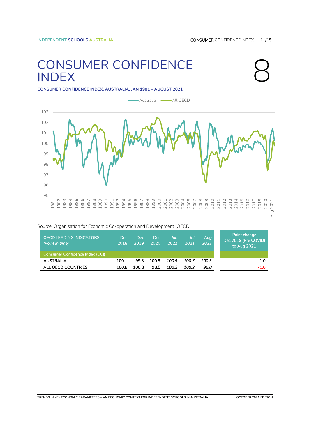# <span id="page-10-0"></span>CONSUMER CONFIDENCE<br>
INDEX<br>
CONSUMER CONFIDENCE INDEX AUSTRALIA IAN 1981 – AUGUST 2021



VID)

1.0

-1.0

**CONSUMER CONFIDENCE INDEX, AUSTRALIA, JAN 1981 – AUGUST 2021**



| boarce. Organisation for Economic Co-operation and Development (OECD) |              |              |             |               |             |             |                                                  |
|-----------------------------------------------------------------------|--------------|--------------|-------------|---------------|-------------|-------------|--------------------------------------------------|
| <b>OECD LEADING INDICATORS</b><br>(Point in time)                     | Dec.<br>2018 | Dec.<br>2019 | Dec<br>2020 | IJun.<br>2021 | Jul<br>2021 | Aug<br>2021 | Point change,<br>Dec 2019 (Pre CO<br>to Aug 2021 |
| Consumer Confidence Index (CCI)                                       |              |              |             |               |             |             |                                                  |
| <b>AUSTRALIA</b>                                                      | 100.1        | 99.3         | 100.9       | 100.9         | 100.7       | 100.3       |                                                  |
| ALL OECD COUNTRIES                                                    | 100.8        | 100.8        | 98.5        | 100.3         | 100.2       | 99.8        |                                                  |

Source: Organisation for Economic Co-operation and Development (OECD)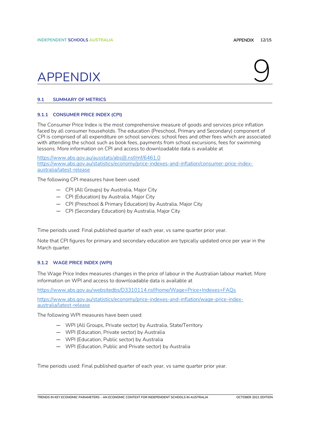## <span id="page-11-0"></span>APPENDIX Q

### <span id="page-11-1"></span>**9.1 SUMMARY OF METRICS**

### <span id="page-11-2"></span>**9.1.1 CONSUMER PRICE INDEX (CPI)**

The Consumer Price Index is the most comprehensive measure of goods and services price inflation faced by all consumer households. The education (Preschool, Primary and Secondary) component of CPI is comprised of all expenditure on school services: school fees and other fees which are associated with attending the school such as book fees, payments from school excursions, fees for swimming lessons. More information on CPI and access to downloadable data is available at

<https://www.abs.gov.au/ausstats/abs@.nsf/mf/6461.0> [https://www.abs.gov.au/statistics/economy/price-indexes-and-inflation/consumer-price-index](https://www.abs.gov.au/statistics/economy/price-indexes-and-inflation/consumer-price-index-australia/latest-release)[australia/latest-release](https://www.abs.gov.au/statistics/economy/price-indexes-and-inflation/consumer-price-index-australia/latest-release)

The following CPI measures have been used:

- CPI (All Groups) by Australia, Major City
- CPI (Education) by Australia, Major City
- CPI (Preschool & Primary Education) by Australia, Major City
- CPI (Secondary Education) by Australia, Major City

Time periods used: Final published quarter of each year, vs same quarter prior year.

Note that CPI figures for primary and secondary education are typically updated once per year in the March quarter.

### <span id="page-11-3"></span>**9.1.2 WAGE PRICE INDEX (WPI)**

The Wage Price Index measures changes in the price of labour in the Australian labour market. More information on WPI and access to downloadable data is available at

<https://www.abs.gov.au/websitedbs/D3310114.nsf/home/Wage+Price+Indexes+FAQs>

[https://www.abs.gov.au/statistics/economy/price-indexes-and-inflation/wage-price-index](https://www.abs.gov.au/statistics/economy/price-indexes-and-inflation/wage-price-index-australia/latest-release)[australia/latest-release](https://www.abs.gov.au/statistics/economy/price-indexes-and-inflation/wage-price-index-australia/latest-release)

The following WPI measures have been used:

- WPI (All Groups, Private sector) by Australia, State/Territory
- WPI (Education, Private sector) by Australia
- WPI (Education, Public sector) by Australia
- WPI (Education, Public and Private sector) by Australia

Time periods used: Final published quarter of each year, vs same quarter prior year.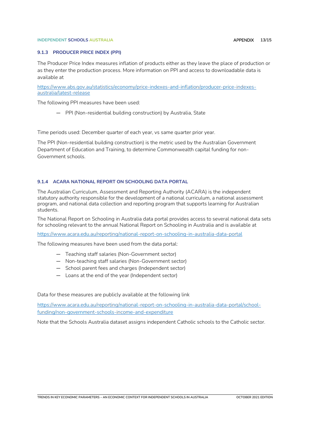#### **INDEPENDENT SCHOOLS AUSTRALIA** AND **APPENDIX 13/15**

#### <span id="page-12-0"></span>**9.1.3 PRODUCER PRICE INDEX (PPI)**

The Producer Price Index measures inflation of products either as they leave the place of production or as they enter the production process. More information on PPI and access to downloadable data is available at

[https://www.abs.gov.au/statistics/economy/price-indexes-and-inflation/producer-price-indexes](https://www.abs.gov.au/statistics/economy/price-indexes-and-inflation/producer-price-indexes-australia/latest-release)[australia/latest-release](https://www.abs.gov.au/statistics/economy/price-indexes-and-inflation/producer-price-indexes-australia/latest-release)

The following PPI measures have been used:

— PPI (Non-residential building construction) by Australia, State

Time periods used: December quarter of each year, vs same quarter prior year.

The PPI (Non-residential building construction) is the metric used by the Australian Government Department of Education and Training, to determine Commonwealth capital funding for non-Government schools.

### <span id="page-12-1"></span>**9.1.4 ACARA NATIONAL REPORT ON SCHOOLING DATA PORTAL**

The Australian Curriculum, Assessment and Reporting Authority (ACARA) is the independent statutory authority responsible for the development of a national curriculum, a national assessment program, and national data collection and reporting program that supports learning for Australian students.

The National Report on Schooling in Australia data portal provides access to several national data sets for schooling relevant to the annual National Report on Schooling in Australia and is available at

<https://www.acara.edu.au/reporting/national-report-on-schooling-in-australia-data-portal>

The following measures have been used from the data portal:

- Teaching staff salaries (Non-Government sector)
- Non-teaching staff salaries (Non-Government sector)
- School parent fees and charges (Independent sector)
- Loans at the end of the year (Independent sector)

Data for these measures are publicly available at the following link

[https://www.acara.edu.au/reporting/national-report-on-schooling-in-australia-data-portal/school](https://www.acara.edu.au/reporting/national-report-on-schooling-in-australia-data-portal/school-funding/non-government-schools-income-and-expenditure)[funding/non-government-schools-income-and-expenditure](https://www.acara.edu.au/reporting/national-report-on-schooling-in-australia-data-portal/school-funding/non-government-schools-income-and-expenditure)

Note that the Schools Australia dataset assigns independent Catholic schools to the Catholic sector.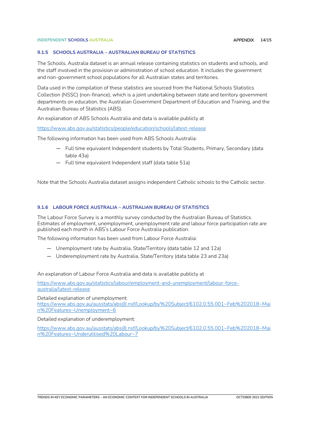### **INDEPENDENT SCHOOLS AUSTRALIA** APPENDIX **14/15**

### <span id="page-13-0"></span>**9.1.5 SCHOOLS AUSTRALIA – AUSTRALIAN BUREAU OF STATISTICS**

The Schools, Australia dataset is an annual release containing statistics on students and schools, and the staff involved in the provision or administration of school education. It includes the government and non-government school populations for all Australian states and territories.

Data used in the compilation of these statistics are sourced from the National Schools Statistics Collection (NSSC) (non-finance), which is a joint undertaking between state and territory government departments on education, the Australian Government Department of Education and Training, and the Australian Bureau of Statistics (ABS).

An explanation of ABS Schools Australia and data is available publicly at

<https://www.abs.gov.au/statistics/people/education/schools/latest-release>

The following information has been used from ABS Schools Australia:

- Full time equivalent Independent students by Total Students, Primary, Secondary (data table 43a)
- Full time equivalent Independent staff (data table 51a)

Note that the Schools Australia dataset assigns independent Catholic schools to the Catholic sector.

### <span id="page-13-1"></span>**9.1.6 LABOUR FORCE AUSTRALIA – AUSTRALIAN BUREAU OF STATISTICS**

The Labour Force Survey is a monthly survey conducted by the Australian Bureau of Statistics. Estimates of employment, unemployment, unemployment rate and labour force participation rate are published each month in ABS's Labour Force Australia publication.

The following information has been used from Labour Force Australia:

- Unemployment rate by Australia, State/Territory (data table 12 and 12a)
- Underemployment rate by Australia, State/Territory (data table 23 and 23a)

An explanation of Labour Force Australia and data is available publicly at

[https://www.abs.gov.au/statistics/labour/employment-and-unemployment/labour-force](https://www.abs.gov.au/statistics/labour/employment-and-unemployment/labour-force-australia/latest-release)[australia/latest-release](https://www.abs.gov.au/statistics/labour/employment-and-unemployment/labour-force-australia/latest-release)

Detailed explanation of unemployment: [https://www.abs.gov.au/ausstats/abs@.nsf/Lookup/by%20Subject/6102.0.55.001~Feb%202018~Mai](https://www.abs.gov.au/ausstats/abs@.nsf/Lookup/by%20Subject/6102.0.55.001~Feb%202018~Main%20Features~Unemployment~6) [n%20Features~Unemployment~6](https://www.abs.gov.au/ausstats/abs@.nsf/Lookup/by%20Subject/6102.0.55.001~Feb%202018~Main%20Features~Unemployment~6)

Detailed explanation of underemployment:

[https://www.abs.gov.au/ausstats/abs@.nsf/Lookup/by%20Subject/6102.0.55.001~Feb%202018~Mai](https://www.abs.gov.au/ausstats/abs@.nsf/Lookup/by%20Subject/6102.0.55.001~Feb%202018~Main%20Features~Underutilised%20Labour~7) [n%20Features~Underutilised%20Labour~7](https://www.abs.gov.au/ausstats/abs@.nsf/Lookup/by%20Subject/6102.0.55.001~Feb%202018~Main%20Features~Underutilised%20Labour~7)